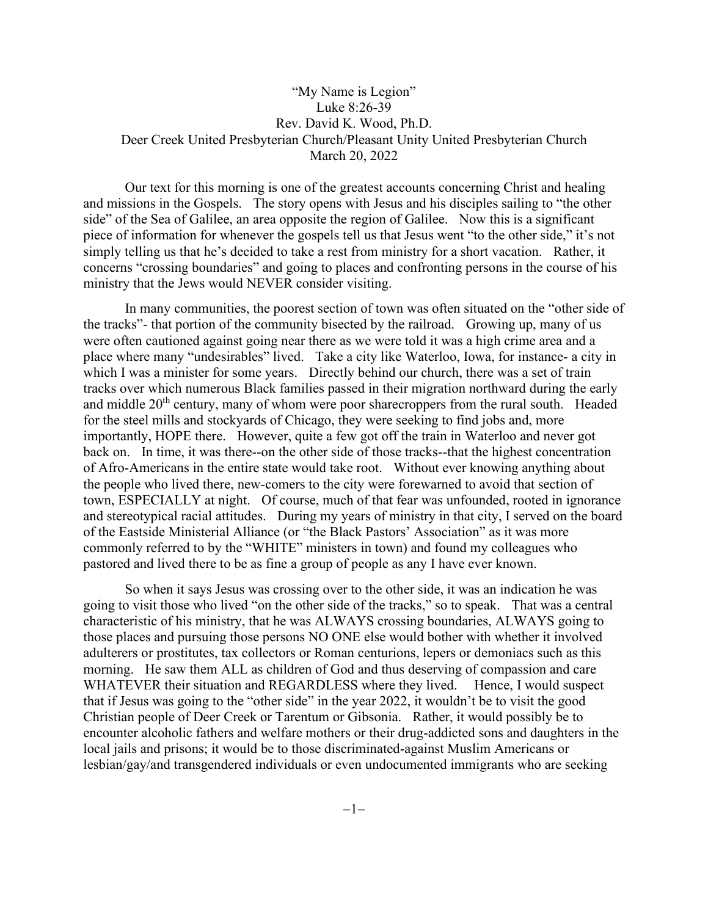## "My Name is Legion" Luke 8:26-39 Rev. David K. Wood, Ph.D. Deer Creek United Presbyterian Church/Pleasant Unity United Presbyterian Church March 20, 2022

Our text for this morning is one of the greatest accounts concerning Christ and healing and missions in the Gospels. The story opens with Jesus and his disciples sailing to "the other side" of the Sea of Galilee, an area opposite the region of Galilee. Now this is a significant piece of information for whenever the gospels tell us that Jesus went "to the other side," it's not simply telling us that he's decided to take a rest from ministry for a short vacation. Rather, it concerns "crossing boundaries" and going to places and confronting persons in the course of his ministry that the Jews would NEVER consider visiting.

In many communities, the poorest section of town was often situated on the "other side of the tracks"- that portion of the community bisected by the railroad. Growing up, many of us were often cautioned against going near there as we were told it was a high crime area and a place where many "undesirables" lived. Take a city like Waterloo, Iowa, for instance- a city in which I was a minister for some years. Directly behind our church, there was a set of train tracks over which numerous Black families passed in their migration northward during the early and middle  $20<sup>th</sup>$  century, many of whom were poor sharecroppers from the rural south. Headed for the steel mills and stockyards of Chicago, they were seeking to find jobs and, more importantly, HOPE there. However, quite a few got off the train in Waterloo and never got back on. In time, it was there--on the other side of those tracks--that the highest concentration of Afro-Americans in the entire state would take root. Without ever knowing anything about the people who lived there, new-comers to the city were forewarned to avoid that section of town, ESPECIALLY at night. Of course, much of that fear was unfounded, rooted in ignorance and stereotypical racial attitudes. During my years of ministry in that city, I served on the board of the Eastside Ministerial Alliance (or "the Black Pastors' Association" as it was more commonly referred to by the "WHITE" ministers in town) and found my colleagues who pastored and lived there to be as fine a group of people as any I have ever known.

So when it says Jesus was crossing over to the other side, it was an indication he was going to visit those who lived "on the other side of the tracks," so to speak. That was a central characteristic of his ministry, that he was ALWAYS crossing boundaries, ALWAYS going to those places and pursuing those persons NO ONE else would bother with whether it involved adulterers or prostitutes, tax collectors or Roman centurions, lepers or demoniacs such as this morning. He saw them ALL as children of God and thus deserving of compassion and care WHATEVER their situation and REGARDLESS where they lived. Hence, I would suspect that if Jesus was going to the "other side" in the year 2022, it wouldn't be to visit the good Christian people of Deer Creek or Tarentum or Gibsonia. Rather, it would possibly be to encounter alcoholic fathers and welfare mothers or their drug-addicted sons and daughters in the local jails and prisons; it would be to those discriminated-against Muslim Americans or lesbian/gay/and transgendered individuals or even undocumented immigrants who are seeking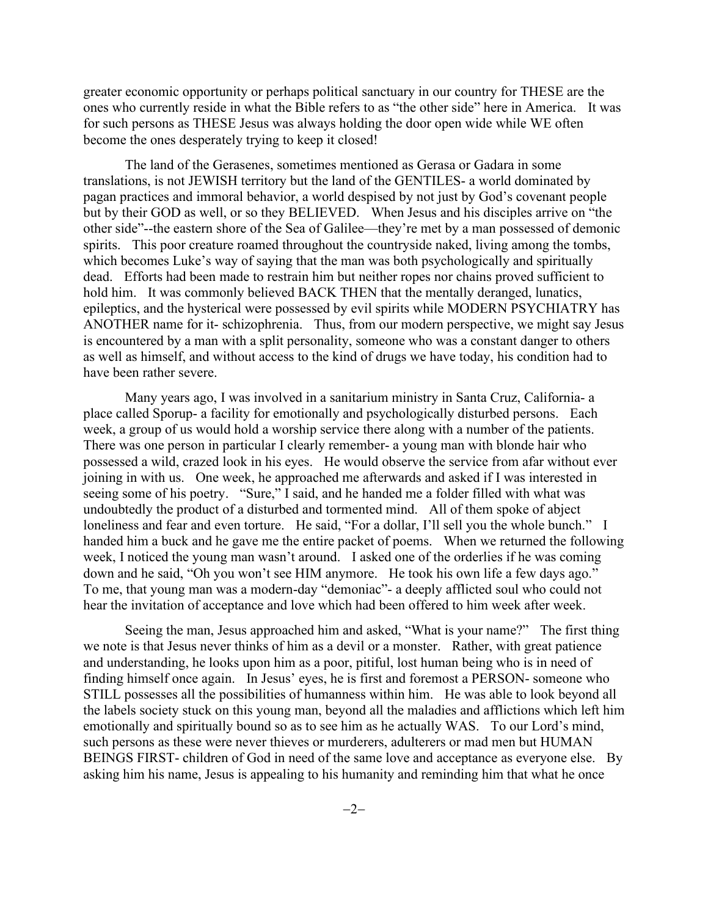greater economic opportunity or perhaps political sanctuary in our country for THESE are the ones who currently reside in what the Bible refers to as "the other side" here in America. It was for such persons as THESE Jesus was always holding the door open wide while WE often become the ones desperately trying to keep it closed!

The land of the Gerasenes, sometimes mentioned as Gerasa or Gadara in some translations, is not JEWISH territory but the land of the GENTILES- a world dominated by pagan practices and immoral behavior, a world despised by not just by God's covenant people but by their GOD as well, or so they BELIEVED. When Jesus and his disciples arrive on "the other side"--the eastern shore of the Sea of Galilee—they're met by a man possessed of demonic spirits. This poor creature roamed throughout the countryside naked, living among the tombs, which becomes Luke's way of saying that the man was both psychologically and spiritually dead. Efforts had been made to restrain him but neither ropes nor chains proved sufficient to hold him. It was commonly believed BACK THEN that the mentally deranged, lunatics, epileptics, and the hysterical were possessed by evil spirits while MODERN PSYCHIATRY has ANOTHER name for it- schizophrenia. Thus, from our modern perspective, we might say Jesus is encountered by a man with a split personality, someone who was a constant danger to others as well as himself, and without access to the kind of drugs we have today, his condition had to have been rather severe.

Many years ago, I was involved in a sanitarium ministry in Santa Cruz, California- a place called Sporup- a facility for emotionally and psychologically disturbed persons. Each week, a group of us would hold a worship service there along with a number of the patients. There was one person in particular I clearly remember- a young man with blonde hair who possessed a wild, crazed look in his eyes. He would observe the service from afar without ever joining in with us. One week, he approached me afterwards and asked if I was interested in seeing some of his poetry. "Sure," I said, and he handed me a folder filled with what was undoubtedly the product of a disturbed and tormented mind. All of them spoke of abject loneliness and fear and even torture. He said, "For a dollar, I'll sell you the whole bunch." I handed him a buck and he gave me the entire packet of poems. When we returned the following week, I noticed the young man wasn't around. I asked one of the orderlies if he was coming down and he said, "Oh you won't see HIM anymore. He took his own life a few days ago." To me, that young man was a modern-day "demoniac"- a deeply afflicted soul who could not hear the invitation of acceptance and love which had been offered to him week after week.

Seeing the man, Jesus approached him and asked, "What is your name?" The first thing we note is that Jesus never thinks of him as a devil or a monster. Rather, with great patience and understanding, he looks upon him as a poor, pitiful, lost human being who is in need of finding himself once again. In Jesus' eyes, he is first and foremost a PERSON- someone who STILL possesses all the possibilities of humanness within him. He was able to look beyond all the labels society stuck on this young man, beyond all the maladies and afflictions which left him emotionally and spiritually bound so as to see him as he actually WAS. To our Lord's mind, such persons as these were never thieves or murderers, adulterers or mad men but HUMAN BEINGS FIRST- children of God in need of the same love and acceptance as everyone else. By asking him his name, Jesus is appealing to his humanity and reminding him that what he once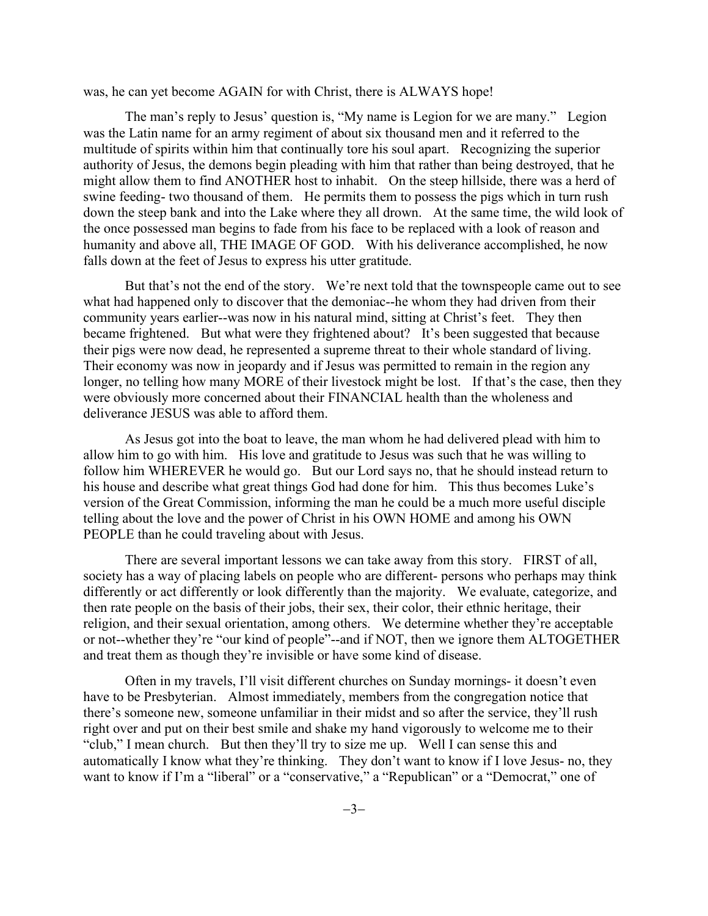was, he can yet become AGAIN for with Christ, there is ALWAYS hope!

The man's reply to Jesus' question is, "My name is Legion for we are many." Legion was the Latin name for an army regiment of about six thousand men and it referred to the multitude of spirits within him that continually tore his soul apart. Recognizing the superior authority of Jesus, the demons begin pleading with him that rather than being destroyed, that he might allow them to find ANOTHER host to inhabit. On the steep hillside, there was a herd of swine feeding- two thousand of them. He permits them to possess the pigs which in turn rush down the steep bank and into the Lake where they all drown. At the same time, the wild look of the once possessed man begins to fade from his face to be replaced with a look of reason and humanity and above all, THE IMAGE OF GOD. With his deliverance accomplished, he now falls down at the feet of Jesus to express his utter gratitude.

But that's not the end of the story. We're next told that the townspeople came out to see what had happened only to discover that the demoniac--he whom they had driven from their community years earlier--was now in his natural mind, sitting at Christ's feet. They then became frightened. But what were they frightened about? It's been suggested that because their pigs were now dead, he represented a supreme threat to their whole standard of living. Their economy was now in jeopardy and if Jesus was permitted to remain in the region any longer, no telling how many MORE of their livestock might be lost. If that's the case, then they were obviously more concerned about their FINANCIAL health than the wholeness and deliverance JESUS was able to afford them.

As Jesus got into the boat to leave, the man whom he had delivered plead with him to allow him to go with him. His love and gratitude to Jesus was such that he was willing to follow him WHEREVER he would go. But our Lord says no, that he should instead return to his house and describe what great things God had done for him. This thus becomes Luke's version of the Great Commission, informing the man he could be a much more useful disciple telling about the love and the power of Christ in his OWN HOME and among his OWN PEOPLE than he could traveling about with Jesus.

There are several important lessons we can take away from this story. FIRST of all, society has a way of placing labels on people who are different- persons who perhaps may think differently or act differently or look differently than the majority. We evaluate, categorize, and then rate people on the basis of their jobs, their sex, their color, their ethnic heritage, their religion, and their sexual orientation, among others. We determine whether they're acceptable or not--whether they're "our kind of people"--and if NOT, then we ignore them ALTOGETHER and treat them as though they're invisible or have some kind of disease.

Often in my travels, I'll visit different churches on Sunday mornings- it doesn't even have to be Presbyterian. Almost immediately, members from the congregation notice that there's someone new, someone unfamiliar in their midst and so after the service, they'll rush right over and put on their best smile and shake my hand vigorously to welcome me to their "club," I mean church. But then they'll try to size me up. Well I can sense this and automatically I know what they're thinking. They don't want to know if I love Jesus- no, they want to know if I'm a "liberal" or a "conservative," a "Republican" or a "Democrat," one of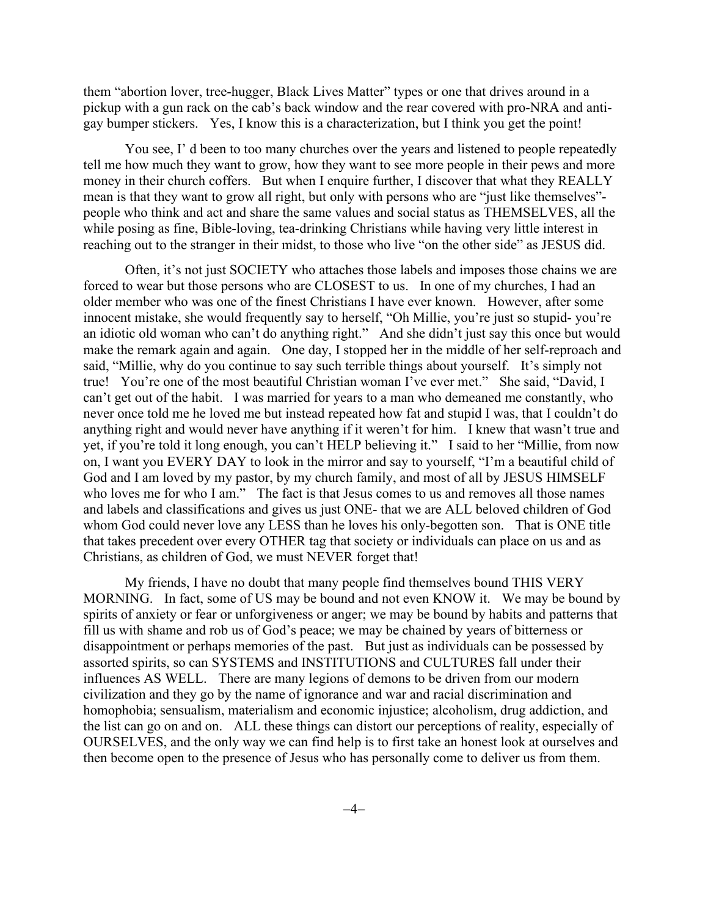them "abortion lover, tree-hugger, Black Lives Matter" types or one that drives around in a pickup with a gun rack on the cab's back window and the rear covered with pro-NRA and antigay bumper stickers. Yes, I know this is a characterization, but I think you get the point!

You see, I' d been to too many churches over the years and listened to people repeatedly tell me how much they want to grow, how they want to see more people in their pews and more money in their church coffers. But when I enquire further, I discover that what they REALLY mean is that they want to grow all right, but only with persons who are "just like themselves" people who think and act and share the same values and social status as THEMSELVES, all the while posing as fine, Bible-loving, tea-drinking Christians while having very little interest in reaching out to the stranger in their midst, to those who live "on the other side" as JESUS did.

Often, it's not just SOCIETY who attaches those labels and imposes those chains we are forced to wear but those persons who are CLOSEST to us. In one of my churches, I had an older member who was one of the finest Christians I have ever known. However, after some innocent mistake, she would frequently say to herself, "Oh Millie, you're just so stupid- you're an idiotic old woman who can't do anything right." And she didn't just say this once but would make the remark again and again. One day, I stopped her in the middle of her self-reproach and said, "Millie, why do you continue to say such terrible things about yourself. It's simply not true! You're one of the most beautiful Christian woman I've ever met." She said, "David, I can't get out of the habit. I was married for years to a man who demeaned me constantly, who never once told me he loved me but instead repeated how fat and stupid I was, that I couldn't do anything right and would never have anything if it weren't for him. I knew that wasn't true and yet, if you're told it long enough, you can't HELP believing it." I said to her "Millie, from now on, I want you EVERY DAY to look in the mirror and say to yourself, "I'm a beautiful child of God and I am loved by my pastor, by my church family, and most of all by JESUS HIMSELF who loves me for who I am." The fact is that Jesus comes to us and removes all those names and labels and classifications and gives us just ONE- that we are ALL beloved children of God whom God could never love any LESS than he loves his only-begotten son. That is ONE title that takes precedent over every OTHER tag that society or individuals can place on us and as Christians, as children of God, we must NEVER forget that!

My friends, I have no doubt that many people find themselves bound THIS VERY MORNING. In fact, some of US may be bound and not even KNOW it. We may be bound by spirits of anxiety or fear or unforgiveness or anger; we may be bound by habits and patterns that fill us with shame and rob us of God's peace; we may be chained by years of bitterness or disappointment or perhaps memories of the past. But just as individuals can be possessed by assorted spirits, so can SYSTEMS and INSTITUTIONS and CULTURES fall under their influences AS WELL. There are many legions of demons to be driven from our modern civilization and they go by the name of ignorance and war and racial discrimination and homophobia; sensualism, materialism and economic injustice; alcoholism, drug addiction, and the list can go on and on. ALL these things can distort our perceptions of reality, especially of OURSELVES, and the only way we can find help is to first take an honest look at ourselves and then become open to the presence of Jesus who has personally come to deliver us from them.